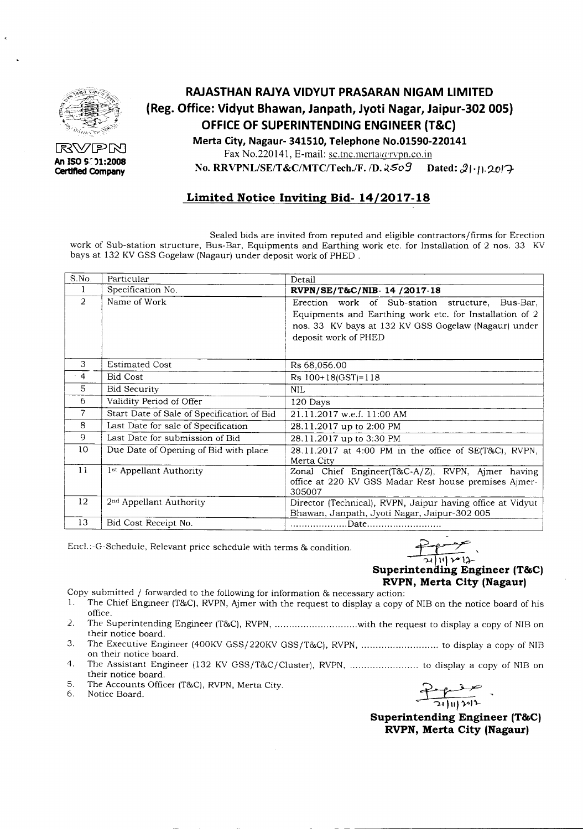

RVPN **An ISOS~)1:2008 Certlfted Company**

# **RAJASTHAN RAJYA VIDYUT PRASARAN NIGAM LIMITED (Reg. Office: Vidyut Bhawan, Janpath, Jyoti Nagar, Jaipur-302 005) OFFICE OF SUPERINTENDING ENGINEER (T&C) Merta City, Nagaur- 341510, Telephone NO.01590-220141**

Fax No.220141, E-mail:  $se.$ tnc.merta $(a$ rvpn.co.in

**No. RRVPNLlSE/T&C/MTC/Tech.JF.** */D.~509* **Dated:** *~"/l.?-o/7-*

## **Limited Notice Inviting Bid- 14/2017-18**

Sealed bids are invited from reputed and eligible contractors/firms for Erection work of Sub-station structure, Bus-Bar, Equipments and Earthing work etc. for Installation of 2 nos. 33 KV bays at 132 KV GSS Gogelaw (Nagaur) under deposit work of PHED .

| S.No.          | Particular                                 | Detail                                                                                                               |  |  |  |  |  |
|----------------|--------------------------------------------|----------------------------------------------------------------------------------------------------------------------|--|--|--|--|--|
| $\mathbf{1}$   | Specification No.                          | RVPN/SE/T&C/NIB-14 /2017-18                                                                                          |  |  |  |  |  |
| $\overline{2}$ | Name of Work                               | Erection work of Sub-station structure, Bus-Bar,<br>Equipments and Earthing work etc. for Installation of 2          |  |  |  |  |  |
|                |                                            | nos. 33 KV bays at 132 KV GSS Gogelaw (Nagaur) under<br>deposit work of PHED                                         |  |  |  |  |  |
| 3              | <b>Estimated Cost</b>                      | Rs 68,056.00                                                                                                         |  |  |  |  |  |
| 4              | <b>Bid Cost</b>                            | $Rs 100+18(GST)=118$                                                                                                 |  |  |  |  |  |
| 5              | <b>Bid Security</b>                        | <b>NIL</b>                                                                                                           |  |  |  |  |  |
| 6              | Validity Period of Offer                   | 120 Days                                                                                                             |  |  |  |  |  |
| $\overline{7}$ | Start Date of Sale of Specification of Bid | 21.11.2017 w.e.f. 11:00 AM                                                                                           |  |  |  |  |  |
| 8              | Last Date for sale of Specification        | 28.11.2017 up to 2:00 PM                                                                                             |  |  |  |  |  |
| 9              | Last Date for submission of Bid            | 28.11.2017 up to 3:30 PM                                                                                             |  |  |  |  |  |
| 10             | Due Date of Opening of Bid with place      | 28.11.2017 at 4:00 PM in the office of SE(T&C), RVPN,<br>Merta City                                                  |  |  |  |  |  |
| 11             | 1 <sup>st</sup> Appellant Authority        | Zonal Chief Engineer(T&C-A/Z), RVPN, Ajmer having<br>office at 220 KV GSS Madar Rest house premises Ajmer-<br>305007 |  |  |  |  |  |
| 12             | 2 <sup>nd</sup> Appellant Authority        | Director (Technical), RVPN, Jaipur having office at Vidyut<br>Bhawan, Janpath, Jyoti Nagar, Jaipur-302 005           |  |  |  |  |  |
| 13             | Bid Cost Receipt No.                       |                                                                                                                      |  |  |  |  |  |

Encl.:-G-Schedule, Relevant price schedule with terms & condition.

#### -~'  $\overline{11}$   $\sim$   $12$ **Superintending Engineer (T&C) RVPN, Merta City (Nagaur)**

Copy submitted / forwarded to the following for information & necessary action:<br>1. The Chief Engineer (T&C), RVPN, Aimer with the request to display a copy.

- The Chief Engineer (T&C), RVPN, Ajmer with the request to display a copy of NIB on the notice board of his office.
- 2. The Superintending Engineer (T&C), RVPN, ...............................with the request to display a copy of NIB on their notice board.
- 3. The Executive Engineer (400KVGSS/220KV GSS/T&C), RVPN, to display a copy of NlB on their notice board.
- 4. The Assistant Engineer (132 KV GSS/T&C/Cluster), RVPN, to display a copy of NlB on their notice board.
- 5. The Accounts Officer (T&C), RVPN, Merta City.<br>6. Notice Board.
- Notice Board.

 $~\Box$ **Product**<br>21 | II ] 30 ] 2

**Superintending Engineer (T&C) RVPN, Merta City (Nagaur)**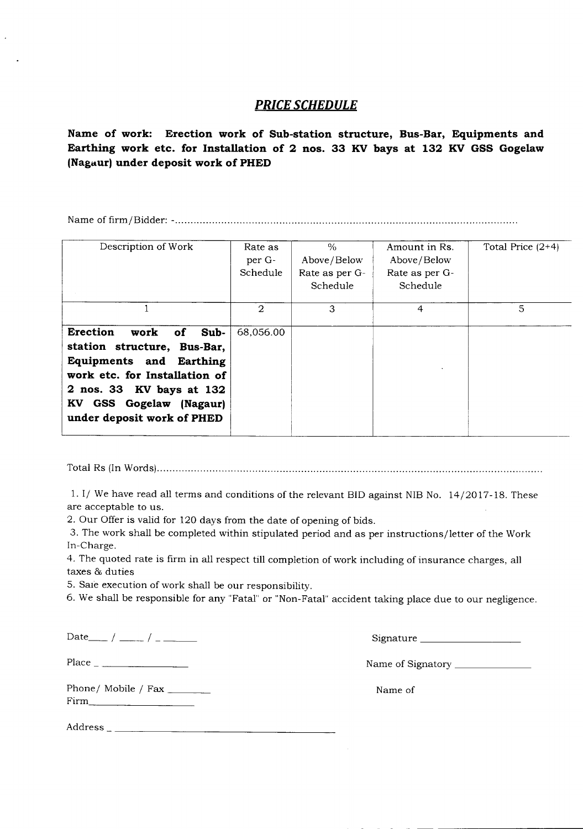#### *PRICE SCHEDULE*

**Name of work: Erection work of Sub-station structure, Bus-Bar, Equipments and Earthing work etc. for Installation of 2 nos. 33 KV bays at 132 KV GSS Gogelaw (Nagaur) under deposit work of PHED**

Name of firm/Bidder: - .

| Description of Work                                                                                                                                                                                                   | Rate as<br>per G-<br>Schedule | $\frac{0}{n}$<br>Above/Below<br>Rate as per G-<br>Schedule | Amount in Rs.<br>Above/Below<br>Rate as per G-<br>Schedule | Total Price $(2+4)$ |
|-----------------------------------------------------------------------------------------------------------------------------------------------------------------------------------------------------------------------|-------------------------------|------------------------------------------------------------|------------------------------------------------------------|---------------------|
|                                                                                                                                                                                                                       | $\mathfrak{D}$                | 3                                                          | 4                                                          | 5                   |
| <b>Erection</b><br>work<br>Sub-<br>of<br>station structure, Bus-Bar,<br>Equipments and Earthing<br>work etc. for Installation of<br>2 nos. 33 KV bays at 132<br>KV GSS Gogelaw (Nagaur)<br>under deposit work of PHED | 68,056.00                     |                                                            |                                                            |                     |

Total Rs (InWords) .

1. I/ We have read all terms and conditions of the relevant BID against NIB No. 14/2017-18. These are acceptable to us.

2. Our Offer is valid for 120 days from the date of opening of bids.

3. The work shall be completed within stipulated period and as per instructions/letter of the Work In-Charge.

4. The quoted rate is firm **in** all respect till completion of work including of insurance charges, all taxes & duties

5. Sale execution of work shall be our responsibility.

6. We shall be responsible for any "Fatal" or "Non-Fatal" accident taking place due to our negligence.

 $Date_{\text{max}} / \text{max}$  /  $\text{max}$  /  $\text{max}$  /  $\text{max}$  /  $\text{max}$  /  $\text{max}$  /  $\text{max}$  /  $\text{max}$  /  $\text{max}$  /  $\text{max}$  /  $\text{max}$  /  $\text{max}$  /  $\text{max}$  /  $\text{max}$  /  $\text{max}$  /  $\text{max}$  /  $\text{max}$  /  $\text{max}$  /  $\text{max}$  /  $\text{max}$  /  $\text{max}$  /  $\text$ 

Place Name of Signatory \_

Phone/ Mobile / Fax \_ Firm \_

Address

Name of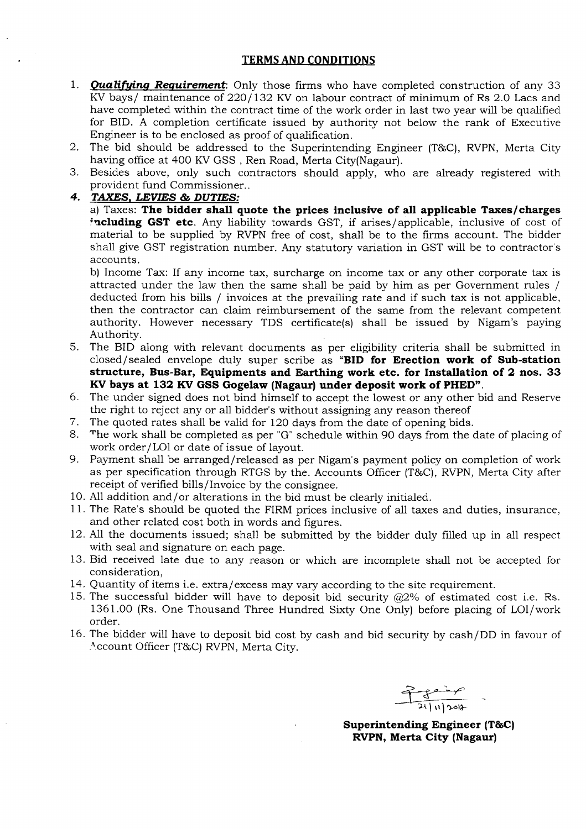#### **TERMS AND CONDITIONS**

- *1. Qualifying Requirement:* Only those firms who have completed construction of any 33 KV bays/ maintenance of 220/132 KV on labour contract of minimum of Rs 2.0 Lacs and have completed within the contract time of the work order in last two year will be qualified for BID. A completion certificate issued by authority not below the rank of Executive Engineer is to be enclosed as proof of qualification.
- 2. The bid should be addressed to the Superintending Engineer (T&C), RVPN, Merta City having office at 400 KV GSS, Ren Road, Merta City(Nagaur).
- 3. Besides above, only such contractors should apply, who are already registered with provident fund Commissioner..

*4. TAXES, LEVIES* **&** *DUTIES:*

a) Taxes: **The bidder shall quote the prices inclusive of all applicable Taxes/charges** ;~cluding **GST etc.** Any liability towards GST, if arises/applicable, inclusive of cost of material to be supplied by RVPN free of cost, shall be to the firms account. The bidder shall give GST registration number. Any statutory variation in GST will be to contractor's accounts.

b) Income Tax: If any income tax, surcharge on income tax or any other corporate tax is attracted under the law then the same shall be paid by him as per Government rules / deducted from his bills / invoices at the prevailing rate and if such tax is not applicable, then the contractor can claim reimbursement of the same from the relevant competent authority. However necessary TDS certificate(s) shall be issued by Nigam's paying Authority.

- 5. The BID along with relevant documents as per eligibility criteria shall be submitted in closed/sealed envelope duly super scribe as **"BID for Erection work of Sub-station structure, BUS-Bar, Equipments and Earthing work etc. for Installation of 2 nos. 33 KVbays at 132 KV GSS Gogelaw (Nagaur) under deposit work of PHED".**
- 6. The under signed does not bind himself to accept the lowest or any other bid and Reserve the right to reject any or all bidder's without assigning any reason thereof
- 7. The quoted rates shall be valid for 120 days from the date of opening bids.
- 8. The work shall be completed as per "G" schedule within 90 days from the date of placing of work order/LOl or date of issue of layout.
- 9. Payment shall be arranged/released as per Nigam's payment policy on completion of work as per specification through RTGS by the. Accounts Officer (T&C), RVPN, Merta City after receipt of verified bills/Invoice by the consignee.
- 10. All addition and/ or alterations in the bid must be clearly initialed.
- 11. The Rate's should be quoted the FIRM prices inclusive of all taxes and duties, insurance, and other related cost both in words and figures.
- 12. All the documents issued; shall be submitted by the bidder duly filled up in all respect with seal and signature on each page.
- 13. Bid received late due to any reason or which are incomplete shall not be accepted for consideration,
- 14. Quantity of items i.e. extra/excess may vary according to the site requirement.
- 15. The successful bidder will have to deposit bid security  $\omega/2\%$  of estimated cost i.e. Rs. 1361.00 (Rs. One Thousand Three Hundred Sixty One Only) before placing of LOI/work order.
- 16. The bidder will have to deposit bid cost by cash and bid security by cash/DO in favour of Account Officer (T&C) RVPN, Merta City.

~~ 21 | 11 | 2012

**Superintending Engineer (T&C) RVPN, Merta City (Nagaur)**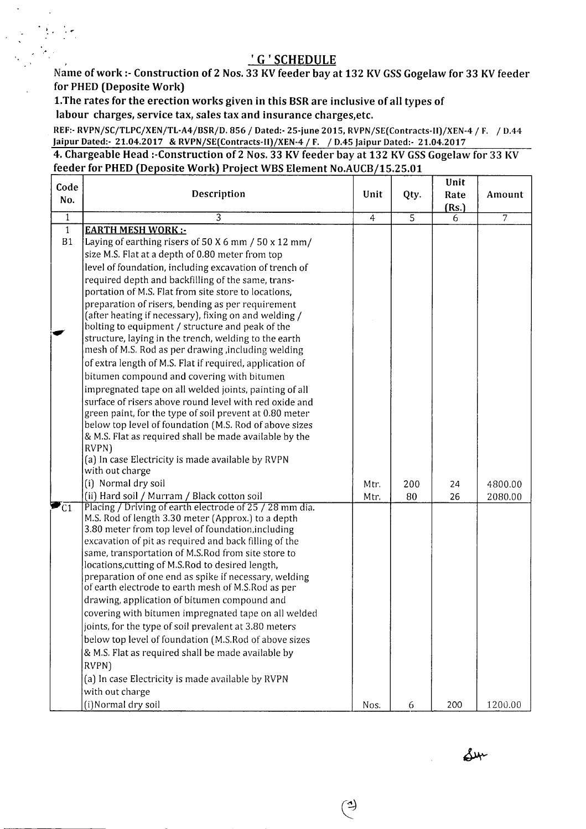## , 'G'SCHEDULE

Name of work :- Construction of 2 Nos. 33 KV feeder bay at 132 KV GSS Gogelaw for 33 KV feeder for PHED (Deposite Work]

LThe rates for the erection works given in this BSRare inclusive of all types of labour charges, service tax, sales tax and insurance charges,etc.

."

.'

 $\ddot{\phantom{a}}$ 

REF:- RVPNjSCjTLPCjXENjTL-A4jBSRjD. 856 *j* Dated.- 25-june 2015, RVPNjSE(Contracts-II)jXEN-4 *j* F. *j* D.44 Jaipur Dated:- 21.04.2017 & RVPN/SE(Contracts-II)/XEN-4 / F. / D.45 Jaipur Dated:- 21.04.2017

4. Chargeable Head :-Construction of 2 Nos. 33 KV feeder bay at 132 KV GSS Gogelaw for 33 KV feeder for PHED (Deposite Work) Project WBS Element No.AUCB/15.25.01

| Code           |                                                                                                            |                |                | Unit  |                |
|----------------|------------------------------------------------------------------------------------------------------------|----------------|----------------|-------|----------------|
| No.            | Description                                                                                                | Unit           | Qty.           | Rate  | Amount         |
| $\overline{1}$ | 3                                                                                                          |                | $\overline{5}$ | (Rs.) |                |
| $\mathbf{1}$   | <b>EARTH MESH WORK:-</b>                                                                                   | $\overline{4}$ |                | 6     | $\overline{7}$ |
| B1             | Laying of earthing risers of 50 X 6 mm / 50 x 12 mm/                                                       |                |                |       |                |
|                | size M.S. Flat at a depth of 0.80 meter from top                                                           |                |                |       |                |
|                | level of foundation, including excavation of trench of                                                     |                |                |       |                |
|                | required depth and backfilling of the same, trans-                                                         |                |                |       |                |
|                | portation of M.S. Flat from site store to locations,                                                       |                |                |       |                |
|                | preparation of risers, bending as per requirement                                                          |                |                |       |                |
|                | (after heating if necessary), fixing on and welding /                                                      |                |                |       |                |
|                | bolting to equipment / structure and peak of the                                                           |                |                |       |                |
|                | structure, laying in the trench, welding to the earth                                                      |                |                |       |                |
|                | mesh of M.S. Rod as per drawing, including welding                                                         |                |                |       |                |
|                | of extra length of M.S. Flat if required, application of                                                   |                |                |       |                |
|                | bitumen compound and covering with bitumen                                                                 |                |                |       |                |
|                | impregnated tape on all welded joints, painting of all                                                     |                |                |       |                |
|                | surface of risers above round level with red oxide and                                                     |                |                |       |                |
|                | green paint, for the type of soil prevent at 0.80 meter                                                    |                |                |       |                |
|                | below top level of foundation (M.S. Rod of above sizes                                                     |                |                |       |                |
|                | & M.S. Flat as required shall be made available by the<br>RVPN)                                            |                |                |       |                |
|                | (a) In case Electricity is made available by RVPN                                                          |                |                |       |                |
|                | with out charge                                                                                            |                |                |       |                |
|                | (i) Normal dry soil                                                                                        | Mtr.           | 200            | 24    | 4800.00        |
|                | (ii) Hard soil / Murram / Black cotton soil                                                                | Mtr.           | 80             | 26    | 2080.00        |
| $\blacksquare$ | Placing / Driving of earth electrode of 25 / 28 mm dia.                                                    |                |                |       |                |
|                | M.S. Rod of length 3.30 meter (Approx.) to a depth                                                         |                |                |       |                |
|                | 3.80 meter from top level of foundation, including                                                         |                |                |       |                |
|                | excavation of pit as required and back filling of the                                                      |                |                |       |                |
|                | same, transportation of M.S.Rod from site store to                                                         |                |                |       |                |
|                | locations, cutting of M.S. Rod to desired length,<br>preparation of one end as spike if necessary, welding |                |                |       |                |
|                | of earth electrode to earth mesh of M.S.Rod as per                                                         |                |                |       |                |
|                | drawing, application of bitumen compound and                                                               |                |                |       |                |
|                | covering with bitumen impregnated tape on all welded                                                       |                |                |       |                |
|                | joints, for the type of soil prevalent at 3.80 meters                                                      |                |                |       |                |
|                | below top level of foundation (M.S.Rod of above sizes                                                      |                |                |       |                |
|                | & M.S. Flat as required shall be made available by                                                         |                |                |       |                |
|                | RVPN)                                                                                                      |                |                |       |                |
|                | (a) In case Electricity is made available by RVPN                                                          |                |                |       |                |
|                | with out charge                                                                                            |                |                |       |                |
|                | (i)Normal dry soil                                                                                         | Nos.           | 6              | 200   | 1200.00        |
|                |                                                                                                            |                |                |       |                |

٩

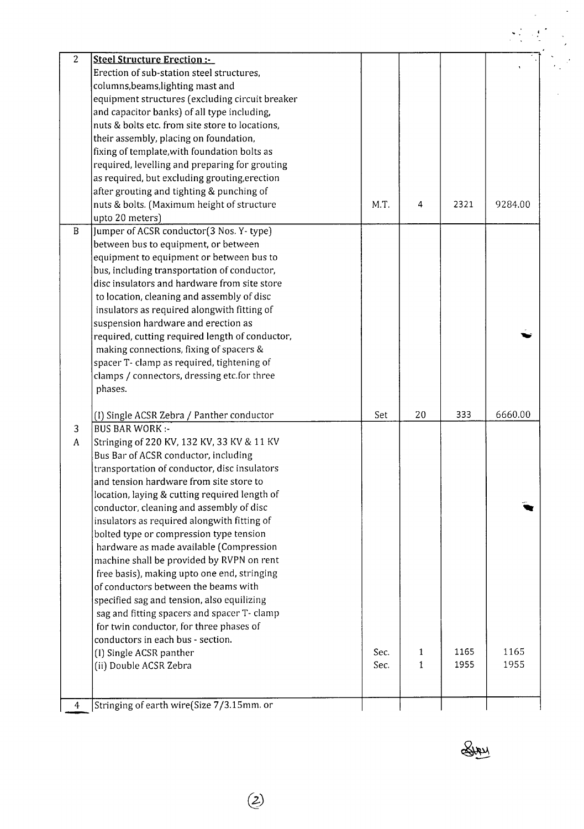| $\mathbf{2}$ | <b>Steel Structure Erection:-</b>                                                      |      |    |      |         |
|--------------|----------------------------------------------------------------------------------------|------|----|------|---------|
|              | Erection of sub-station steel structures,                                              |      |    |      |         |
|              | columns, beams, lighting mast and                                                      |      |    |      |         |
|              | equipment structures (excluding circuit breaker                                        |      |    |      |         |
|              | and capacitor banks) of all type including,                                            |      |    |      |         |
|              | nuts & bolts etc. from site store to locations,                                        |      |    |      |         |
|              | their assembly, placing on foundation,                                                 |      |    |      |         |
|              | fixing of template, with foundation bolts as                                           |      |    |      |         |
|              | required, levelling and preparing for grouting                                         |      |    |      |         |
|              | as required, but excluding grouting, erection                                          |      |    |      |         |
|              | after grouting and tighting & punching of                                              |      |    |      |         |
|              | nuts & bolts. (Maximum height of structure                                             | M.T. | 4  | 2321 | 9284.00 |
|              | upto 20 meters)                                                                        |      |    |      |         |
| $\mathbf{B}$ | Jumper of ACSR conductor(3 Nos. Y-type)                                                |      |    |      |         |
|              | between bus to equipment, or between                                                   |      |    |      |         |
|              | equipment to equipment or between bus to                                               |      |    |      |         |
|              | bus, including transportation of conductor,                                            |      |    |      |         |
|              | disc insulators and hardware from site store                                           |      |    |      |         |
|              | to location, cleaning and assembly of disc                                             |      |    |      |         |
|              | insulators as required alongwith fitting of                                            |      |    |      |         |
|              |                                                                                        |      |    |      |         |
|              | suspension hardware and erection as<br>required, cutting required length of conductor, |      |    |      |         |
|              |                                                                                        |      |    |      |         |
|              | making connections, fixing of spacers &                                                |      |    |      |         |
|              | spacer T- clamp as required, tightening of                                             |      |    |      |         |
|              | clamps / connectors, dressing etc.for three                                            |      |    |      |         |
|              | phases.                                                                                |      |    |      |         |
|              | (I) Single ACSR Zebra / Panther conductor                                              | Set  | 20 | 333  | 6660.00 |
| 3            | <b>BUS BAR WORK:-</b>                                                                  |      |    |      |         |
| A            | Stringing of 220 KV, 132 KV, 33 KV & 11 KV                                             |      |    |      |         |
|              | Bus Bar of ACSR conductor, including                                                   |      |    |      |         |
|              | transportation of conductor, disc insulators                                           |      |    |      |         |
|              | and tension hardware from site store to                                                |      |    |      |         |
|              | location, laying & cutting required length of                                          |      |    |      |         |
|              | conductor, cleaning and assembly of disc                                               |      |    |      |         |
|              | insulators as required alongwith fitting of                                            |      |    |      |         |
|              | bolted type or compression type tension                                                |      |    |      |         |
|              | hardware as made available (Compression                                                |      |    |      |         |
|              | machine shall be provided by RVPN on rent                                              |      |    |      |         |
|              | free basis), making upto one end, stringing                                            |      |    |      |         |
|              | of conductors between the beams with                                                   |      |    |      |         |
|              | specified sag and tension, also equilizing                                             |      |    |      |         |
|              | sag and fitting spacers and spacer T- clamp                                            |      |    |      |         |
|              | for twin conductor, for three phases of                                                |      |    |      |         |
|              | conductors in each bus - section.                                                      |      |    |      |         |
|              | (I) Single ACSR panther                                                                | Sec. | 1  | 1165 | 1165    |
|              | (ii) Double ACSR Zebra                                                                 | Sec. | 1  | 1955 | 1955    |
|              |                                                                                        |      |    |      |         |
|              |                                                                                        |      |    |      |         |
|              | Stringing of earth wire(Size 7/3.15mm. or                                              |      |    |      |         |

Sury

 $\frac{1}{\sqrt{2}}$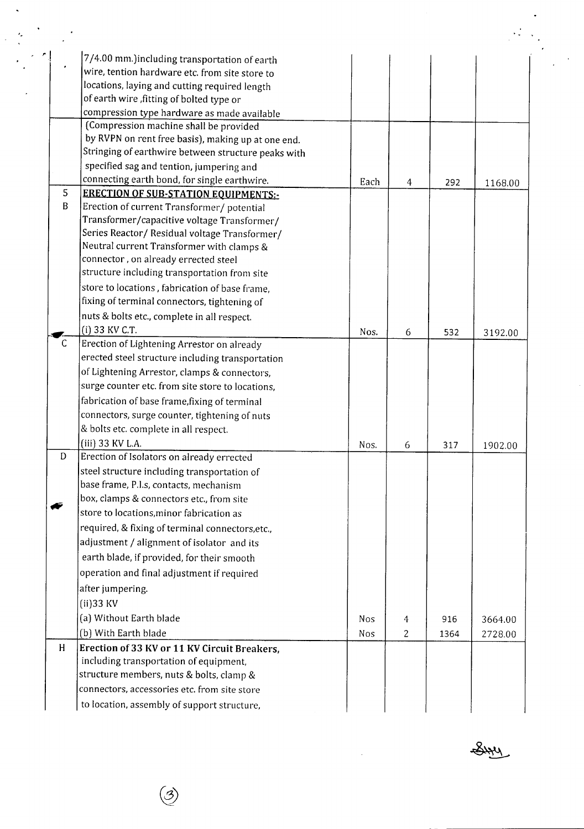|              | 7/4.00 mm.)including transportation of earth        |      |   |      |         |
|--------------|-----------------------------------------------------|------|---|------|---------|
|              | wire, tention hardware etc. from site store to      |      |   |      |         |
|              | locations, laying and cutting required length       |      |   |      |         |
|              | of earth wire, fitting of bolted type or            |      |   |      |         |
|              | compression type hardware as made available         |      |   |      |         |
|              | (Compression machine shall be provided              |      |   |      |         |
|              | by RVPN on rent free basis), making up at one end.  |      |   |      |         |
|              | Stringing of earthwire between structure peaks with |      |   |      |         |
|              | specified sag and tention, jumpering and            |      |   |      |         |
|              | connecting earth bond, for single earthwire.        | Each | 4 | 292  | 1168.00 |
| 5            | <b>ERECTION OF SUB-STATION EQUIPMENTS:-</b>         |      |   |      |         |
| B            | Erection of current Transformer/ potential          |      |   |      |         |
|              | Transformer/capacitive voltage Transformer/         |      |   |      |         |
|              | Series Reactor/ Residual voltage Transformer/       |      |   |      |         |
|              | Neutral current Transformer with clamps &           |      |   |      |         |
|              | connector, on already errected steel                |      |   |      |         |
|              | structure including transportation from site        |      |   |      |         |
|              | store to locations, fabrication of base frame,      |      |   |      |         |
|              | fixing of terminal connectors, tightening of        |      |   |      |         |
|              | nuts & bolts etc., complete in all respect.         |      |   |      |         |
|              | (i) 33 KV C.T.                                      | Nos. | 6 | 532  | 3192.00 |
| $\mathsf{C}$ | Erection of Lightening Arrestor on already          |      |   |      |         |
|              | erected steel structure including transportation    |      |   |      |         |
|              | of Lightening Arrestor, clamps & connectors,        |      |   |      |         |
|              | surge counter etc. from site store to locations,    |      |   |      |         |
|              | fabrication of base frame, fixing of terminal       |      |   |      |         |
|              | connectors, surge counter, tightening of nuts       |      |   |      |         |
|              | & bolts etc. complete in all respect.               |      |   |      |         |
|              | (iii) 33 KV L.A.                                    | Nos. | 6 | 317  | 1902.00 |
| D            | Erection of Isolators on already errected           |      |   |      |         |
|              | steel structure including transportation of         |      |   |      |         |
|              | base frame, P.I.s, contacts, mechanism              |      |   |      |         |
|              | box, clamps & connectors etc., from site            |      |   |      |         |
|              | store to locations, minor fabrication as            |      |   |      |         |
|              | required, & fixing of terminal connectors, etc.,    |      |   |      |         |
|              | adjustment / alignment of isolator and its          |      |   |      |         |
|              | earth blade, if provided, for their smooth          |      |   |      |         |
|              | operation and final adjustment if required          |      |   |      |         |
|              | after jumpering.                                    |      |   |      |         |
|              | $(ii)$ 33 KV                                        |      |   |      |         |
|              | (a) Without Earth blade                             | Nos  | 4 | 916  | 3664.00 |
|              | (b) With Earth blade                                | Nos  | 2 | 1364 | 2728.00 |
| H            | Erection of 33 KV or 11 KV Circuit Breakers,        |      |   |      |         |
|              | including transportation of equipment,              |      |   |      |         |
|              | structure members, nuts & bolts, clamp &            |      |   |      |         |
|              | connectors, accessories etc. from site store        |      |   |      |         |
|              |                                                     |      |   |      |         |
|              | to location, assembly of support structure,         |      |   |      |         |

 $\circledS$ 

*-,*

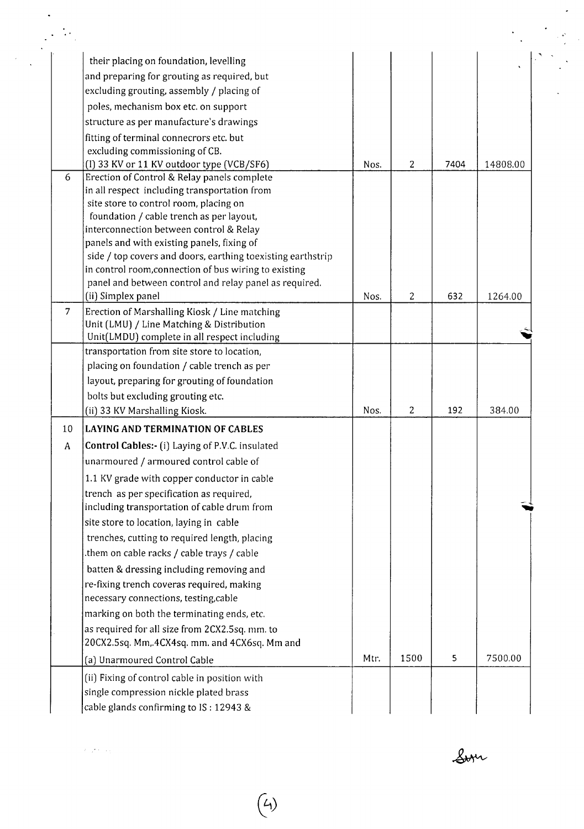|                | their placing on foundation, levelling                                                |      |                |      |          |
|----------------|---------------------------------------------------------------------------------------|------|----------------|------|----------|
|                | and preparing for grouting as required, but                                           |      |                |      |          |
|                | excluding grouting, assembly / placing of                                             |      |                |      |          |
|                | poles, mechanism box etc. on support                                                  |      |                |      |          |
|                | structure as per manufacture's drawings                                               |      |                |      |          |
|                | fitting of terminal connecrors etc. but                                               |      |                |      |          |
|                | excluding commissioning of CB.                                                        |      |                |      |          |
|                | (I) 33 KV or 11 KV outdoor type (VCB/SF6)                                             | Nos. | 2              | 7404 | 14808.00 |
| 6              | Erection of Control & Relay panels complete                                           |      |                |      |          |
|                | in all respect including transportation from                                          |      |                |      |          |
|                | site store to control room, placing on                                                |      |                |      |          |
|                | foundation / cable trench as per layout,                                              |      |                |      |          |
|                | interconnection between control & Relay<br>panels and with existing panels, fixing of |      |                |      |          |
|                | side / top covers and doors, earthing toexisting earthstrip                           |      |                |      |          |
|                | in control room, connection of bus wiring to existing                                 |      |                |      |          |
|                | panel and between control and relay panel as required.                                |      |                |      |          |
|                | (ii) Simplex panel                                                                    | Nos. | $\overline{c}$ | 632  | 1264.00  |
| $\overline{7}$ | Erection of Marshalling Kiosk / Line matching                                         |      |                |      |          |
|                | Unit (LMU) / Line Matching & Distribution                                             |      |                |      |          |
|                | Unit(LMDU) complete in all respect including                                          |      |                |      |          |
|                | transportation from site store to location,                                           |      |                |      |          |
|                | placing on foundation / cable trench as per                                           |      |                |      |          |
|                | layout, preparing for grouting of foundation                                          |      |                |      |          |
|                | bolts but excluding grouting etc.                                                     |      |                |      |          |
|                | (ii) 33 KV Marshalling Kiosk.                                                         | Nos. | $\overline{c}$ | 192  | 384.00   |
| 10             | <b>LAYING AND TERMINATION OF CABLES</b>                                               |      |                |      |          |
|                | Control Cables:- (i) Laying of P.V.C. insulated                                       |      |                |      |          |
| A              |                                                                                       |      |                |      |          |
|                | unarmoured / armoured control cable of                                                |      |                |      |          |
|                | 1.1 KV grade with copper conductor in cable                                           |      |                |      |          |
|                | trench as per specification as required,                                              |      |                |      |          |
|                | including transportation of cable drum from                                           |      |                |      |          |
|                | site store to location, laying in cable                                               |      |                |      |          |
|                | trenches, cutting to required length, placing                                         |      |                |      |          |
|                | them on cable racks / cable trays / cable.                                            |      |                |      |          |
|                | batten & dressing including removing and                                              |      |                |      |          |
|                | re-fixing trench coveras required, making                                             |      |                |      |          |
|                | necessary connections, testing, cable                                                 |      |                |      |          |
|                | marking on both the terminating ends, etc.                                            |      |                |      |          |
|                | as required for all size from 2CX2.5sq. mm. to                                        |      |                |      |          |
|                | 20CX2.5sq. Mm, 4CX4sq. mm. and 4CX6sq. Mm and                                         |      |                |      |          |
|                | (a) Unarmoured Control Cable                                                          | Mtr. | 1500           | 5    | 7500.00  |
|                |                                                                                       |      |                |      |          |
|                | (ii) Fixing of control cable in position with                                         |      |                |      |          |

*Ct,)*

 $\ell$  of  $\ell$  as